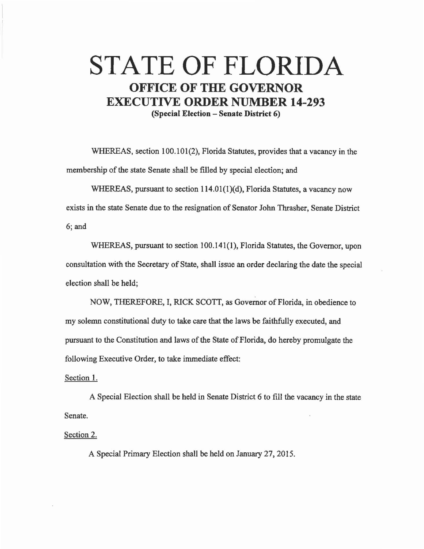## **STATE OF FLORIDA OFFICE OF THE GOVERNOR EXECUTIVE ORDER NUMBER 14-293 (Special Election - Senate District 6)**

WHEREAS, section 100.101(2), Florida Statutes, provides that a vacancy in the membership of the state Senate shall be filled by special election; and

WHEREAS, pursuant to section 114.01(1)(d), Florida Statutes, a vacancy now exists in the state Senate due to the resignation of Senator John Thrasher, Senate District 6;and

WHEREAS, pursuant to section 100.141(1), Florida Statutes, the Governor, upon consultation with the Secretary of State, shall issue an order declaring the date the special election shall be held;

NOW, THEREFORE, I, RICK SCOTT, as Governor of Florida, in obedience to my solemn constitutional duty to take care that the laws be faithfully executed, and pursuant to the Constitution and laws of the State of Florida, do hereby promulgate the following Executive Order, to take immediate effect:

## Section 1.

A Special Election shall be held in Senate District 6 to fill the vacancy in the state Senate.

Section 2.

A Special Primary Election shall be held on January 27, 2015.